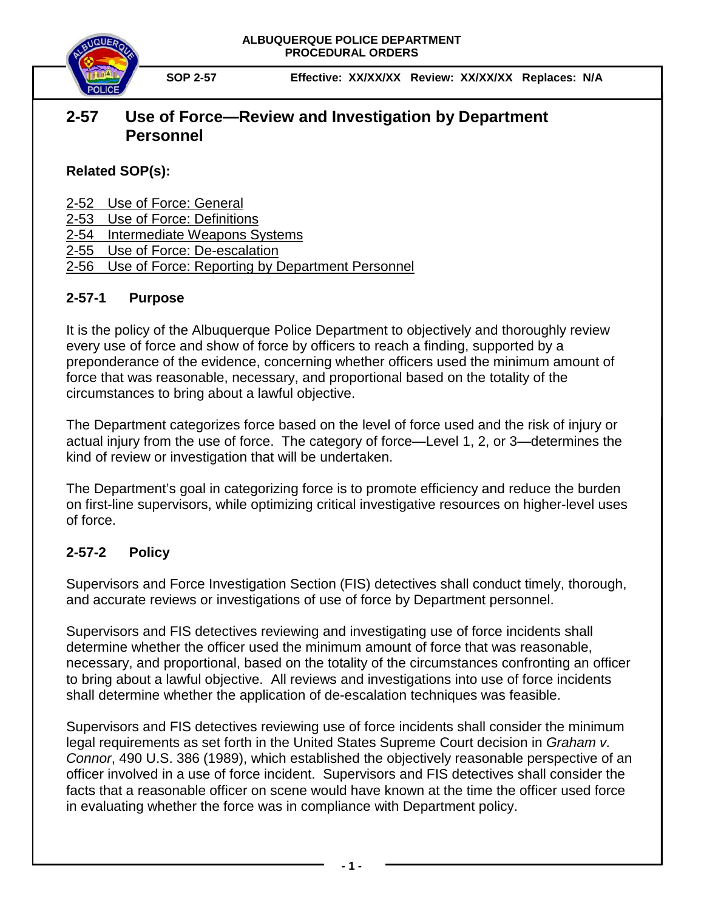

**SOP 2-57 Effective: XX/XX/XX Review: XX/XX/XX Replaces: N/A**

# **2-57 Use of Force—Review and Investigation by Department Personnel**

### **Related SOP(s):**

2-52 [Use of Force: General](https://powerdms.com/docs/135?q=2-52)

- 2-53 [Use of Force: Definitions](https://powerdms.com/docs/137?q=2-53)
- 2-54 [Intermediate Weapons](https://powerdms.com/docs/755463?q=2-54) Systems
- 2-55 [Use of Force: De-escalation](https://powerdms.com/docs/755516?q=2-55)
- 2-56 [Use of Force: Reporting by Department Personnel](https://powerdms.com/docs/208?q=2-56)

### **2-57-1 Purpose**

It is the policy of the Albuquerque Police Department to objectively and thoroughly review every use of force and show of force by officers to reach a finding, supported by a preponderance of the evidence, concerning whether officers used the minimum amount of force that was reasonable, necessary, and proportional based on the totality of the circumstances to bring about a lawful objective.

The Department categorizes force based on the level of force used and the risk of injury or actual injury from the use of force. The category of force—Level 1, 2, or 3—determines the kind of review or investigation that will be undertaken.

The Department's goal in categorizing force is to promote efficiency and reduce the burden on first-line supervisors, while optimizing critical investigative resources on higher-level uses of force.

# **2-57-2 Policy**

Supervisors and Force Investigation Section (FIS) detectives shall conduct timely, thorough, and accurate reviews or investigations of use of force by Department personnel.

Supervisors and FIS detectives reviewing and investigating use of force incidents shall determine whether the officer used the minimum amount of force that was reasonable, necessary, and proportional, based on the totality of the circumstances confronting an officer to bring about a lawful objective. All reviews and investigations into use of force incidents shall determine whether the application of de-escalation techniques was feasible.

Supervisors and FIS detectives reviewing use of force incidents shall consider the minimum legal requirements as set forth in the United States Supreme Court decision in *Graham v. Connor*, 490 U.S. 386 (1989), which established the objectively reasonable perspective of an officer involved in a use of force incident. Supervisors and FIS detectives shall consider the facts that a reasonable officer on scene would have known at the time the officer used force in evaluating whether the force was in compliance with Department policy.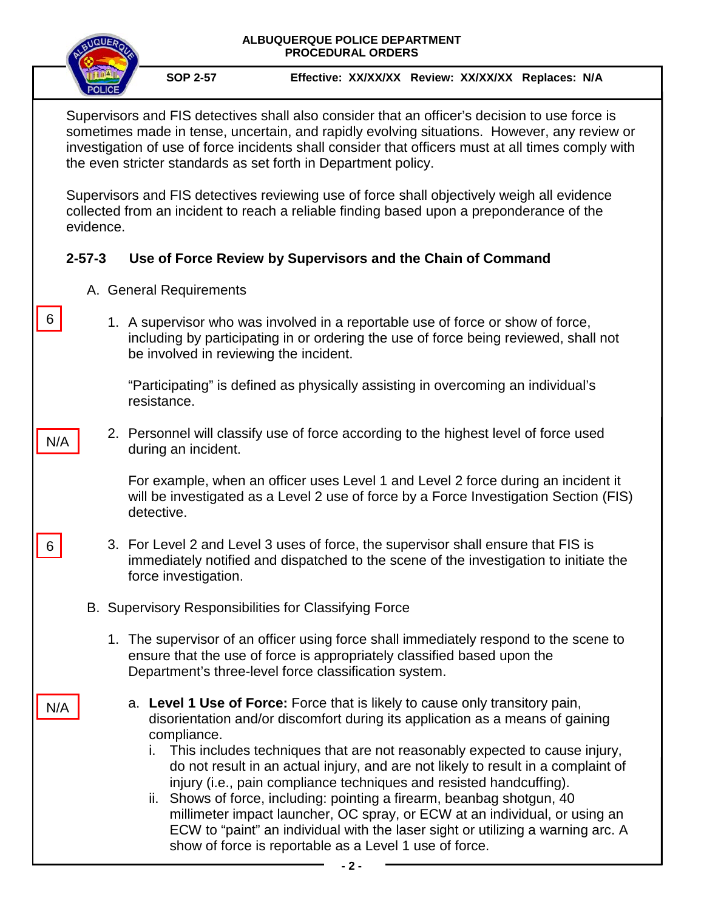

6

N/A

6

N/A

**SOP 2-57 Effective: XX/XX/XX Review: XX/XX/XX Replaces: N/A**

Supervisors and FIS detectives shall also consider that an officer's decision to use force is sometimes made in tense, uncertain, and rapidly evolving situations. However, any review or investigation of use of force incidents shall consider that officers must at all times comply with the even stricter standards as set forth in Department policy.

Supervisors and FIS detectives reviewing use of force shall objectively weigh all evidence collected from an incident to reach a reliable finding based upon a preponderance of the evidence.

# **2-57-3 Use of Force Review by Supervisors and the Chain of Command**

- A. General Requirements
	- 1. A supervisor who was involved in a reportable use of force or show of force, including by participating in or ordering the use of force being reviewed, shall not be involved in reviewing the incident.

"Participating" is defined as physically assisting in overcoming an individual's resistance.

2. Personnel will classify use of force according to the highest level of force used during an incident.

For example, when an officer uses Level 1 and Level 2 force during an incident it will be investigated as a Level 2 use of force by a Force Investigation Section (FIS) detective.

- 3. For Level 2 and Level 3 uses of force, the supervisor shall ensure that FIS is immediately notified and dispatched to the scene of the investigation to initiate the force investigation.
- B. Supervisory Responsibilities for Classifying Force
	- 1. The supervisor of an officer using force shall immediately respond to the scene to ensure that the use of force is appropriately classified based upon the Department's three-level force classification system.
		- a. **Level 1 Use of Force:** Force that is likely to cause only transitory pain, disorientation and/or discomfort during its application as a means of gaining compliance.
			- i. This includes techniques that are not reasonably expected to cause injury, do not result in an actual injury, and are not likely to result in a complaint of injury (i.e., pain compliance techniques and resisted handcuffing).
			- ii. Shows of force, including: pointing a firearm, beanbag shotgun, 40 millimeter impact launcher, OC spray, or ECW at an individual, or using an ECW to "paint" an individual with the laser sight or utilizing a warning arc. A show of force is reportable as a Level 1 use of force.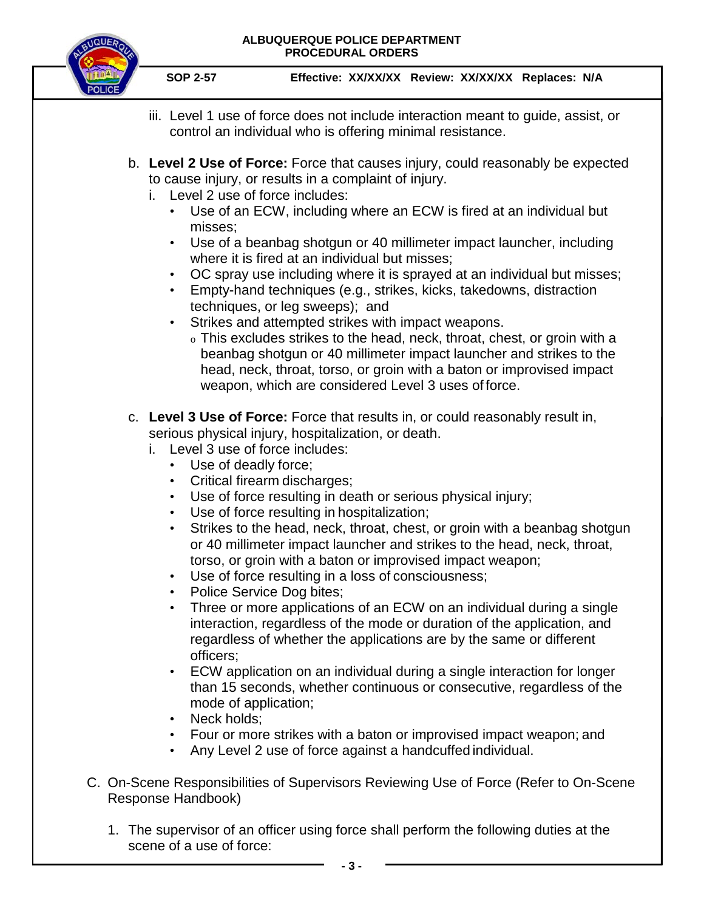

**SOP 2-57 Effective: XX/XX/XX Review: XX/XX/XX Replaces: N/A**

- iii. Level 1 use of force does not include interaction meant to guide, assist, or control an individual who is offering minimal resistance.
- b. **Level 2 Use of Force:** Force that causes injury, could reasonably be expected to cause injury, or results in a complaint of injury.
	- i. Level 2 use of force includes:
		- Use of an ECW, including where an ECW is fired at an individual but misses;
		- Use of a beanbag shotgun or 40 millimeter impact launcher, including where it is fired at an individual but misses;
		- OC spray use including where it is sprayed at an individual but misses;
		- Empty-hand techniques (e.g., strikes, kicks, takedowns, distraction techniques, or leg sweeps); and
		- Strikes and attempted strikes with impact weapons.
			- <sup>o</sup> This excludes strikes to the head, neck, throat, chest, or groin with a beanbag shotgun or 40 millimeter impact launcher and strikes to the head, neck, throat, torso, or groin with a baton or improvised impact weapon, which are considered Level 3 uses of force.
- c. **Level 3 Use of Force:** Force that results in, or could reasonably result in, serious physical injury, hospitalization, or death.
	- i. Level 3 use of force includes:
		- Use of deadly force;
		- Critical firearm discharges;
		- Use of force resulting in death or serious physical injury;
		- Use of force resulting in hospitalization;
		- Strikes to the head, neck, throat, chest, or groin with a beanbag shotgun or 40 millimeter impact launcher and strikes to the head, neck, throat, torso, or groin with a baton or improvised impact weapon;
		- Use of force resulting in a loss of consciousness;
		- Police Service Dog bites;
		- Three or more applications of an ECW on an individual during a single interaction, regardless of the mode or duration of the application, and regardless of whether the applications are by the same or different officers;
		- ECW application on an individual during a single interaction for longer than 15 seconds, whether continuous or consecutive, regardless of the mode of application;
		- Neck holds:
		- Four or more strikes with a baton or improvised impact weapon; and
		- Any Level 2 use of force against a handcuffed individual.
- C. On-Scene Responsibilities of Supervisors Reviewing Use of Force (Refer to On-Scene Response Handbook)
	- 1. The supervisor of an officer using force shall perform the following duties at the scene of a use of force: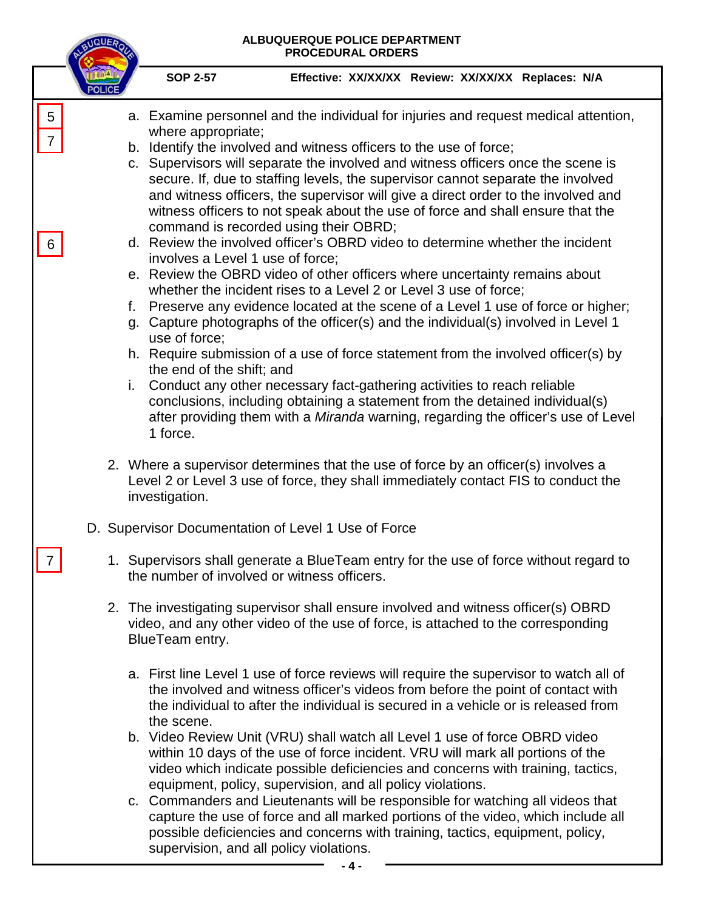### **ALBUQUERQUE POLICE DEPARTMENT PROCEDURAL ORDERS SOP 2-57 Effective: XX/XX/XX Review: XX/XX/XX Replaces: N/A** a. Examine personnel and the individual for injuries and request medical attention, where appropriate; b. Identify the involved and witness officers to the use of force; c. Supervisors will separate the involved and witness officers once the scene is secure. If, due to staffing levels, the supervisor cannot separate the involved and witness officers, the supervisor will give a direct order to the involved and witness officers to not speak about the use of force and shall ensure that the command is recorded using their OBRD; d. Review the involved officer's OBRD video to determine whether the incident involves a Level 1 use of force; e. Review the OBRD video of other officers where uncertainty remains about whether the incident rises to a Level 2 or Level 3 use of force; f. Preserve any evidence located at the scene of a Level 1 use of force or higher; g. Capture photographs of the officer(s) and the individual(s) involved in Level 1 use of force; h. Require submission of a use of force statement from the involved officer(s) by the end of the shift; and i. Conduct any other necessary fact-gathering activities to reach reliable conclusions, including obtaining a statement from the detained individual(s) after providing them with a *Miranda* warning, regarding the officer's use of Level 1 force. 2. Where a supervisor determines that the use of force by an officer(s) involves a Level 2 or Level 3 use of force, they shall immediately contact FIS to conduct the investigation. D. Supervisor Documentation of Level 1 Use of Force 1. Supervisors shall generate a BlueTeam entry for the use of force without regard to the number of involved or witness officers. 2. The investigating supervisor shall ensure involved and witness officer(s) OBRD video, and any other video of the use of force, is attached to the corresponding BlueTeam entry. a. First line Level 1 use of force reviews will require the supervisor to watch all of the involved and witness officer's videos from before the point of contact with the individual to after the individual is secured in a vehicle or is released from the scene. b. Video Review Unit (VRU) shall watch all Level 1 use of force OBRD video within 10 days of the use of force incident. VRU will mark all portions of the video which indicate possible deficiencies and concerns with training, tactics, equipment, policy, supervision, and all policy violations. c. Commanders and Lieutenants will be responsible for watching all videos that capture the use of force and all marked portions of the video, which include all possible deficiencies and concerns with training, tactics, equipment, policy, supervision, and all policy violations. 5 7 6 7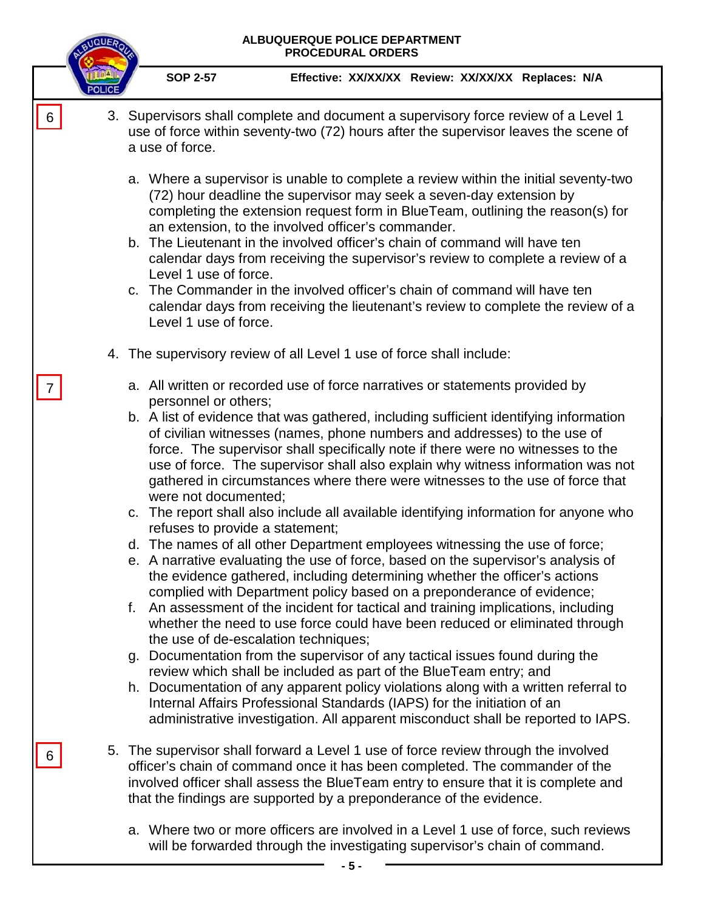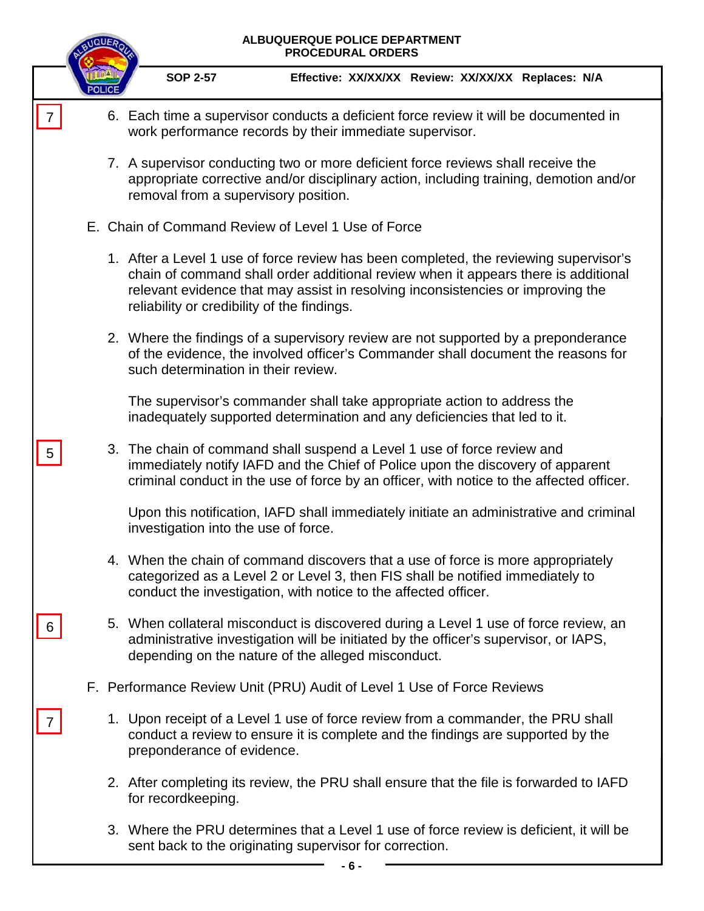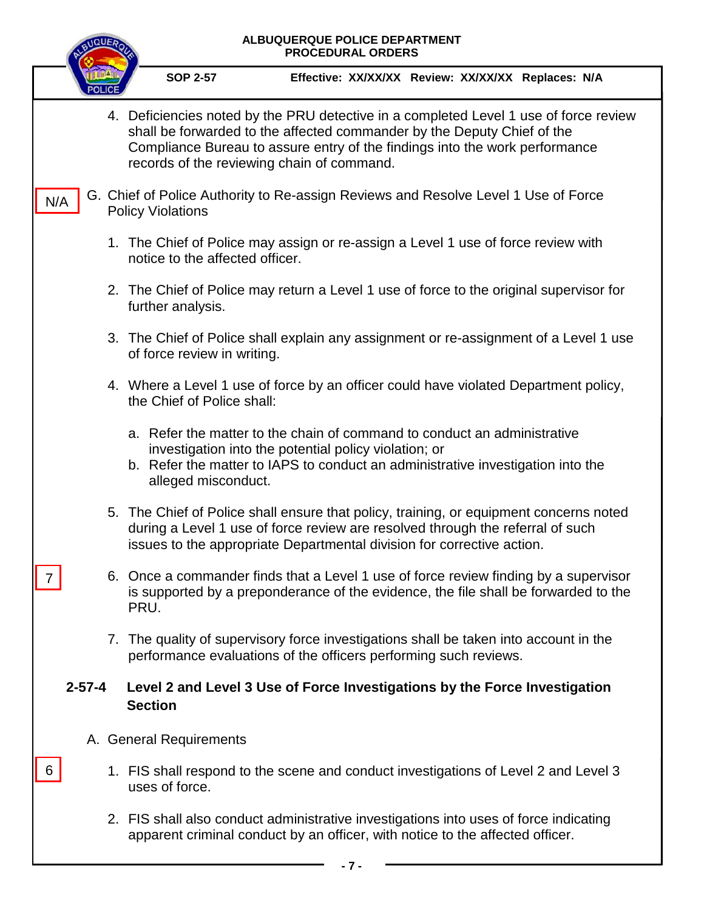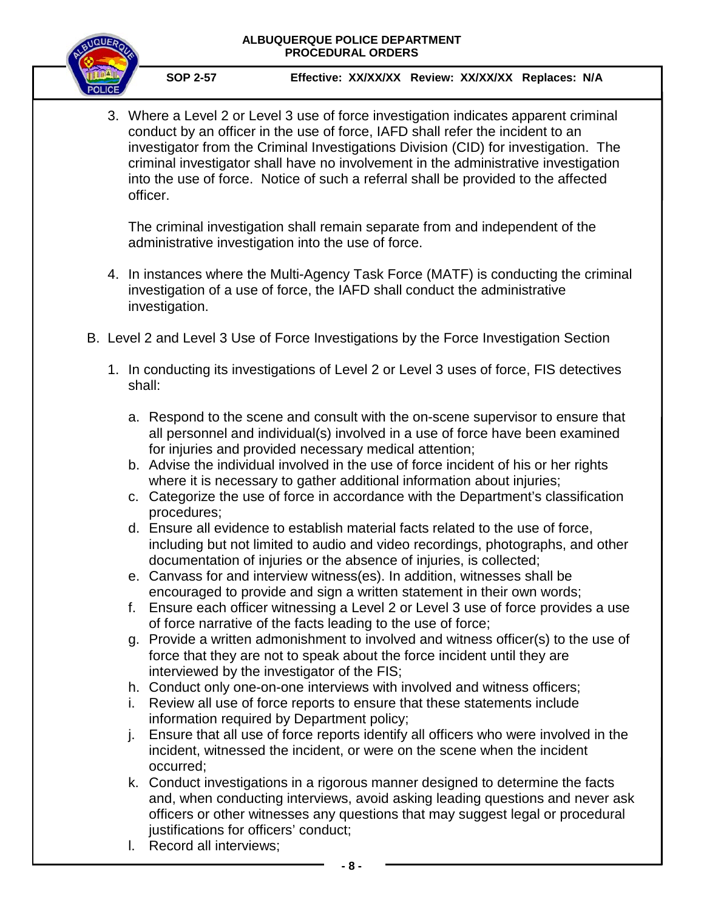

### **SOP 2-57 Effective: XX/XX/XX Review: XX/XX/XX Replaces: N/A**

3. Where a Level 2 or Level 3 use of force investigation indicates apparent criminal conduct by an officer in the use of force, IAFD shall refer the incident to an investigator from the Criminal Investigations Division (CID) for investigation. The criminal investigator shall have no involvement in the administrative investigation into the use of force. Notice of such a referral shall be provided to the affected officer.

The criminal investigation shall remain separate from and independent of the administrative investigation into the use of force.

- 4. In instances where the Multi-Agency Task Force (MATF) is conducting the criminal investigation of a use of force, the IAFD shall conduct the administrative investigation.
- B. Level 2 and Level 3 Use of Force Investigations by the Force Investigation Section
	- 1. In conducting its investigations of Level 2 or Level 3 uses of force, FIS detectives shall:
		- a. Respond to the scene and consult with the on-scene supervisor to ensure that all personnel and individual(s) involved in a use of force have been examined for injuries and provided necessary medical attention;
		- b. Advise the individual involved in the use of force incident of his or her rights where it is necessary to gather additional information about injuries;
		- c. Categorize the use of force in accordance with the Department's classification procedures;
		- d. Ensure all evidence to establish material facts related to the use of force, including but not limited to audio and video recordings, photographs, and other documentation of injuries or the absence of injuries, is collected;
		- e. Canvass for and interview witness(es). In addition, witnesses shall be encouraged to provide and sign a written statement in their own words;
		- f. Ensure each officer witnessing a Level 2 or Level 3 use of force provides a use of force narrative of the facts leading to the use of force;
		- g. Provide a written admonishment to involved and witness officer(s) to the use of force that they are not to speak about the force incident until they are interviewed by the investigator of the FIS;
		- h. Conduct only one-on-one interviews with involved and witness officers;
		- i. Review all use of force reports to ensure that these statements include information required by Department policy;
		- j. Ensure that all use of force reports identify all officers who were involved in the incident, witnessed the incident, or were on the scene when the incident occurred;
		- k. Conduct investigations in a rigorous manner designed to determine the facts and, when conducting interviews, avoid asking leading questions and never ask officers or other witnesses any questions that may suggest legal or procedural justifications for officers' conduct;
		- l. Record all interviews;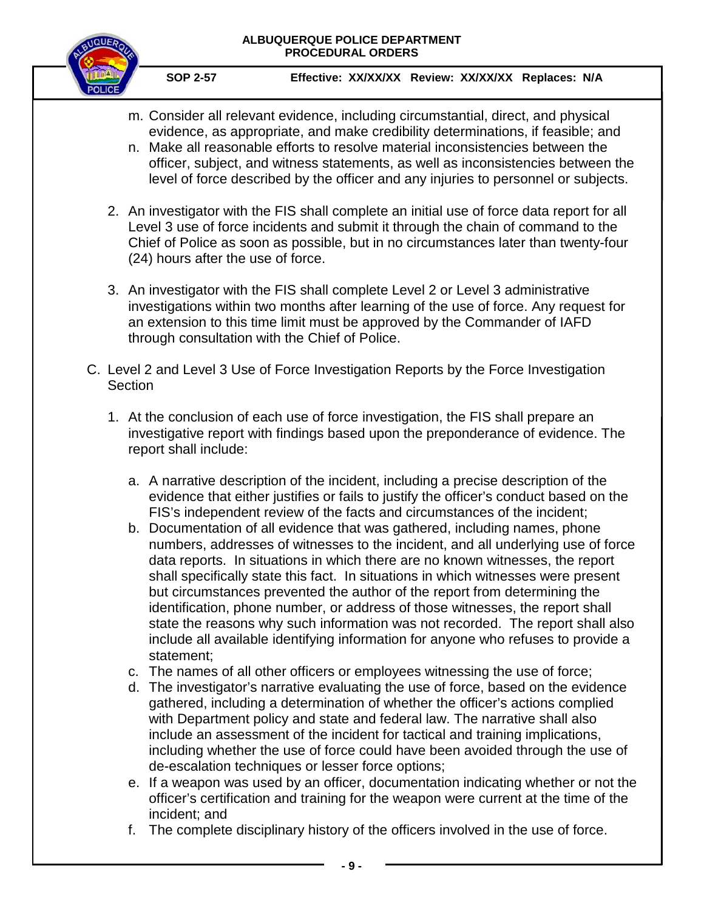

**SOP 2-57 Effective: XX/XX/XX Review: XX/XX/XX Replaces: N/A**

- m. Consider all relevant evidence, including circumstantial, direct, and physical evidence, as appropriate, and make credibility determinations, if feasible; and
- n. Make all reasonable efforts to resolve material inconsistencies between the officer, subject, and witness statements, as well as inconsistencies between the level of force described by the officer and any injuries to personnel or subjects.
- 2. An investigator with the FIS shall complete an initial use of force data report for all Level 3 use of force incidents and submit it through the chain of command to the Chief of Police as soon as possible, but in no circumstances later than twenty-four (24) hours after the use of force.
- 3. An investigator with the FIS shall complete Level 2 or Level 3 administrative investigations within two months after learning of the use of force. Any request for an extension to this time limit must be approved by the Commander of IAFD through consultation with the Chief of Police.
- C. Level 2 and Level 3 Use of Force Investigation Reports by the Force Investigation **Section** 
	- 1. At the conclusion of each use of force investigation, the FIS shall prepare an investigative report with findings based upon the preponderance of evidence. The report shall include:
		- a. A narrative description of the incident, including a precise description of the evidence that either justifies or fails to justify the officer's conduct based on the FIS's independent review of the facts and circumstances of the incident;
		- b. Documentation of all evidence that was gathered, including names, phone numbers, addresses of witnesses to the incident, and all underlying use of force data reports. In situations in which there are no known witnesses, the report shall specifically state this fact. In situations in which witnesses were present but circumstances prevented the author of the report from determining the identification, phone number, or address of those witnesses, the report shall state the reasons why such information was not recorded. The report shall also include all available identifying information for anyone who refuses to provide a statement;
		- c. The names of all other officers or employees witnessing the use of force;
		- d. The investigator's narrative evaluating the use of force, based on the evidence gathered, including a determination of whether the officer's actions complied with Department policy and state and federal law. The narrative shall also include an assessment of the incident for tactical and training implications, including whether the use of force could have been avoided through the use of de-escalation techniques or lesser force options;
		- e. If a weapon was used by an officer, documentation indicating whether or not the officer's certification and training for the weapon were current at the time of the incident; and
		- f. The complete disciplinary history of the officers involved in the use of force.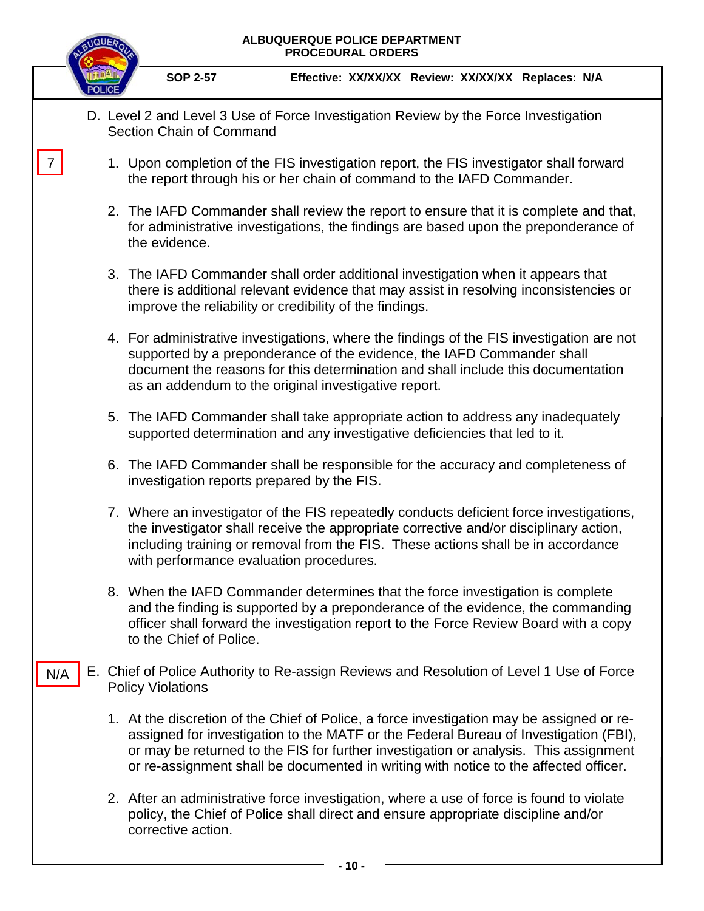